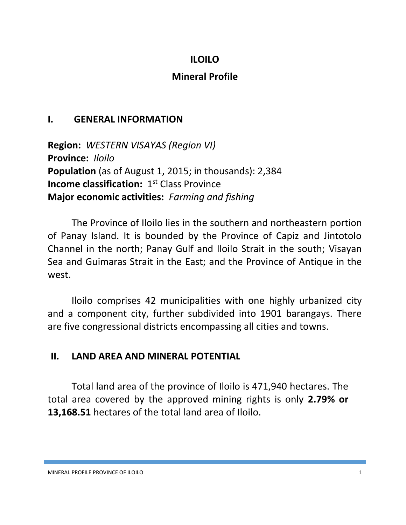## **ILOILO**

## **Mineral Profile**

#### **I. GENERAL INFORMATION**

**Region:** *WESTERN VISAYAS (Region VI)* **Province:** *Iloilo* **Population** (as of August 1, 2015; in thousands): 2,384 **Income classification:** 1<sup>st</sup> Class Province **Major economic activities:** *Farming and fishing*

The Province of Iloilo lies in the southern and northeastern portion of Panay Island. It is bounded by the Province of Capiz and Jintotolo Channel in the north; Panay Gulf and Iloilo Strait in the south; Visayan Sea and Guimaras Strait in the East; and the Province of Antique in the west.

Iloilo comprises 42 municipalities with one highly urbanized city and a component city, further subdivided into 1901 barangays. There are five congressional districts encompassing all cities and towns.

#### **II. LAND AREA AND MINERAL POTENTIAL**

Total land area of the province of Iloilo is 471,940 hectares. The total area covered by the approved mining rights is only **2.79% or 13,168.51** hectares of the total land area of Iloilo.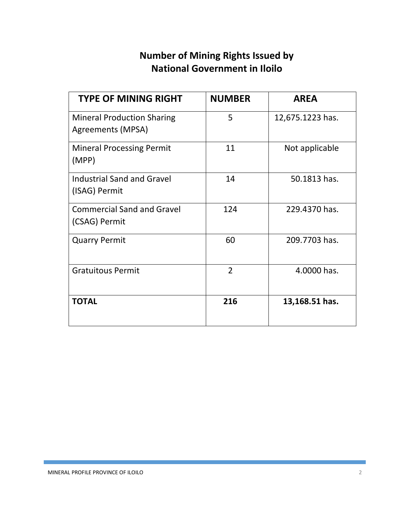# **Number of Mining Rights Issued by National Government in Iloilo**

| <b>TYPE OF MINING RIGHT</b>                            | <b>NUMBER</b>  | <b>AREA</b>      |
|--------------------------------------------------------|----------------|------------------|
| <b>Mineral Production Sharing</b><br>Agreements (MPSA) | 5              | 12,675.1223 has. |
| <b>Mineral Processing Permit</b><br>(MPP)              | 11             | Not applicable   |
| <b>Industrial Sand and Gravel</b><br>(ISAG) Permit     | 14             | 50.1813 has.     |
| <b>Commercial Sand and Gravel</b><br>(CSAG) Permit     | 124            | 229.4370 has.    |
| <b>Quarry Permit</b>                                   | 60             | 209.7703 has.    |
| <b>Gratuitous Permit</b>                               | $\overline{2}$ | 4.0000 has.      |
| <b>TOTAL</b>                                           | 216            | 13,168.51 has.   |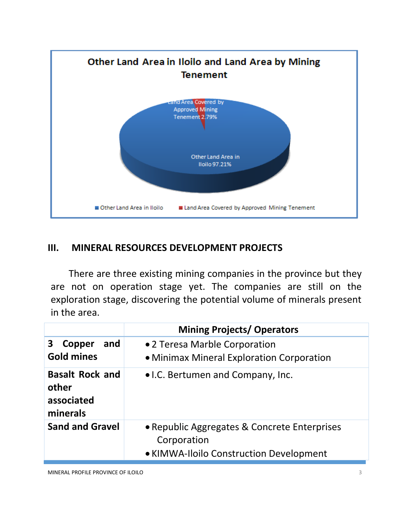

#### **III. MINERAL RESOURCES DEVELOPMENT PROJECTS**

There are three existing mining companies in the province but they are not on operation stage yet. The companies are still on the exploration stage, discovering the potential volume of minerals present in the area.

|                                                           | <b>Mining Projects/ Operators</b>                                                                      |  |  |
|-----------------------------------------------------------|--------------------------------------------------------------------------------------------------------|--|--|
| and<br>3<br>Copper<br><b>Gold mines</b>                   | •2 Teresa Marble Corporation<br>• Minimax Mineral Exploration Corporation                              |  |  |
| <b>Basalt Rock and</b><br>other<br>associated<br>minerals | • I.C. Bertumen and Company, Inc.                                                                      |  |  |
| <b>Sand and Gravel</b>                                    | • Republic Aggregates & Concrete Enterprises<br>Corporation<br>• KIMWA-Iloilo Construction Development |  |  |

MINERAL PROFILE PROVINCE OF ILOILO 3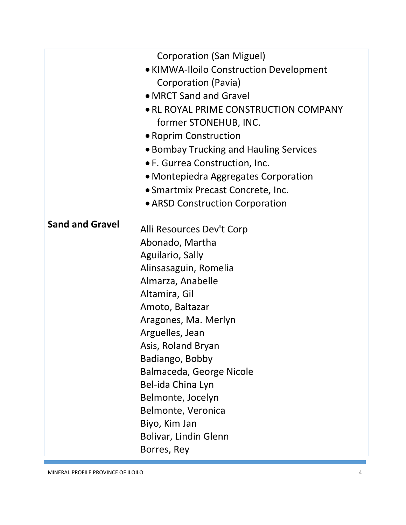|                        | <b>Corporation (San Miguel)</b>         |
|------------------------|-----------------------------------------|
|                        | • KIMWA-Iloilo Construction Development |
|                        | Corporation (Pavia)                     |
|                        | • MRCT Sand and Gravel                  |
|                        | • RL ROYAL PRIME CONSTRUCTION COMPANY   |
|                        | former STONEHUB, INC.                   |
|                        | • Roprim Construction                   |
|                        | • Bombay Trucking and Hauling Services  |
|                        | • F. Gurrea Construction, Inc.          |
|                        | • Montepiedra Aggregates Corporation    |
|                        | • Smartmix Precast Concrete, Inc.       |
|                        | • ARSD Construction Corporation         |
| <b>Sand and Gravel</b> |                                         |
|                        | Alli Resources Dev't Corp               |
|                        | Abonado, Martha                         |
|                        | Aguilario, Sally                        |
|                        | Alinsasaguin, Romelia                   |
|                        | Almarza, Anabelle                       |
|                        | Altamira, Gil                           |
|                        | Amoto, Baltazar                         |
|                        | Aragones, Ma. Merlyn                    |
|                        | Arguelles, Jean                         |
|                        | Asis, Roland Bryan                      |
|                        | Badiango, Bobby                         |
|                        | Balmaceda, George Nicole                |
|                        | Bel-ida China Lyn                       |
|                        | Belmonte, Jocelyn                       |
|                        | Belmonte, Veronica                      |
|                        | Biyo, Kim Jan                           |
|                        | Bolivar, Lindin Glenn                   |
|                        | Borres, Rey                             |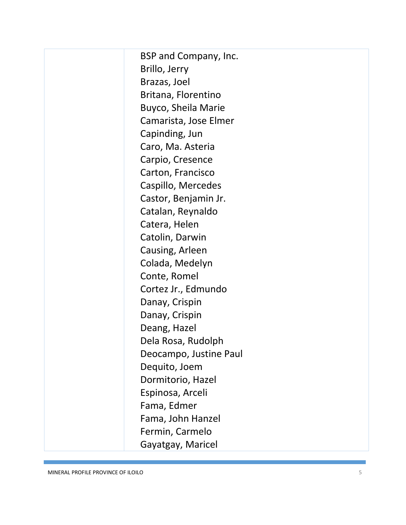BSP and Company, Inc. Brillo, Jerry Brazas, Joel Britana, Florentino Buyco, Sheila Marie Camarista, Jose Elmer Capinding, Jun Caro, Ma. Asteria Carpio, Cresence Carton, Francisco Caspillo, Mercedes Castor, Benjamin Jr. Catalan, Reynaldo Catera, Helen Catolin, Darwin Causing, Arleen Colada, Medelyn Conte, Romel Cortez Jr., Edmundo Danay, Crispin Danay, Crispin Deang, Hazel Dela Rosa, Rudolph Deocampo, Justine Paul Dequito, Joem Dormitorio, Hazel Espinosa, Arceli Fama, Edmer Fama, John Hanzel Fermin, Carmelo Gayatgay, Maricel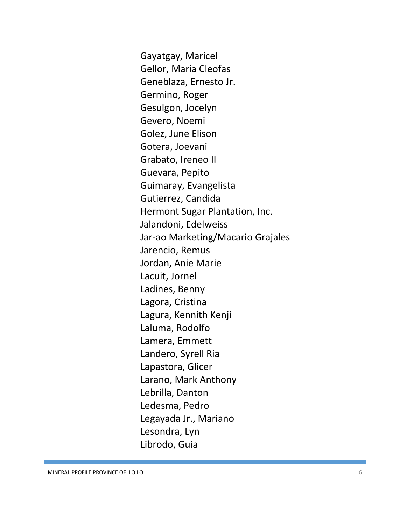Gayatgay, Maricel Gellor, Maria Cleofas Geneblaza, Ernesto Jr. Germino, Roger Gesulgon, Jocelyn Gevero, Noemi Golez, June Elison Gotera, Joevani Grabato, Ireneo II Guevara, Pepito Guimaray, Evangelista Gutierrez, Candida Hermont Sugar Plantation, Inc. Jalandoni, Edelweiss Jar-ao Marketing/Macario Grajales Jarencio, Remus Jordan, Anie Marie Lacuit, Jornel Ladines, Benny Lagora, Cristina Lagura, Kennith Kenji Laluma, Rodolfo Lamera, Emmett Landero, Syrell Ria Lapastora, Glicer Larano, Mark Anthony Lebrilla, Danton Ledesma, Pedro Legayada Jr., Mariano Lesondra, Lyn Librodo, Guia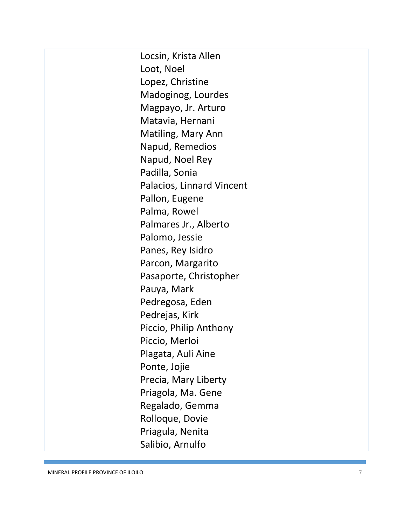Locsin, Krista Allen Loot, Noel Lopez, Christine Madoginog, Lourdes Magpayo, Jr. Arturo Matavia, Hernani Matiling, Mary Ann Napud, Remedios Napud, Noel Rey Padilla, Sonia Palacios, Linnard Vincent Pallon, Eugene Palma, Rowel Palmares Jr., Alberto Palomo, Jessie Panes, Rey Isidro Parcon, Margarito Pasaporte, Christophe r Pauya, Mark Pedregosa, Eden Pedrejas, Kirk Piccio, Philip Anthony Piccio, Merloi Plagata, Auli Aine Ponte, Jojie Precia, Mary Liberty Priagola, Ma. Gene Regalado, Gemma Rolloque, Dovie Priagula, Nenita Salibio, Arnulfo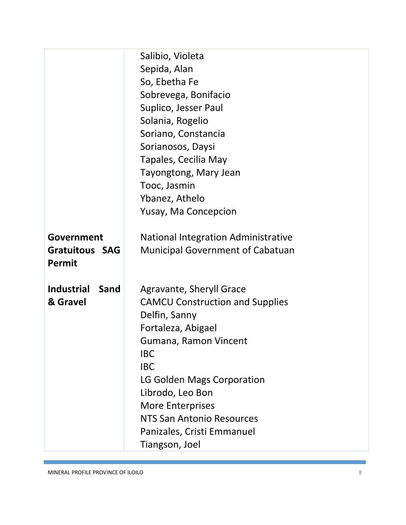|                           | Salibio, Violeta                           |  |
|---------------------------|--------------------------------------------|--|
|                           | Sepida, Alan                               |  |
|                           | So, Ebetha Fe                              |  |
|                           | Sobrevega, Bonifacio                       |  |
|                           | Suplico, Jesser Paul                       |  |
|                           | Solania, Rogelio                           |  |
|                           | Soriano, Constancia                        |  |
|                           | Sorianosos, Daysi                          |  |
|                           | Tapales, Cecilia May                       |  |
|                           | Tayongtong, Mary Jean                      |  |
|                           | Tooc, Jasmin                               |  |
|                           | Ybanez, Athelo                             |  |
|                           | Yusay, Ma Concepcion                       |  |
|                           |                                            |  |
| Government                | <b>National Integration Administrative</b> |  |
| <b>Gratuitous SAG</b>     | <b>Municipal Government of Cabatuan</b>    |  |
| <b>Permit</b>             |                                            |  |
|                           |                                            |  |
| <b>Industrial</b><br>Sand | <b>Agravante, Sheryll Grace</b>            |  |
| & Gravel                  | <b>CAMCU Construction and Supplies</b>     |  |
|                           | Delfin, Sanny                              |  |
|                           | Fortaleza, Abigael                         |  |
|                           | Gumana, Ramon Vincent                      |  |
|                           | <b>IBC</b>                                 |  |
|                           | <b>IBC</b>                                 |  |
|                           | LG Golden Mags Corporation                 |  |
|                           | Librodo, Leo Bon                           |  |
|                           | <b>More Enterprises</b>                    |  |
|                           | NTS San Antonio Resources                  |  |
|                           | Panizales, Cristi Emmanuel                 |  |
|                           | Tiangson, Joel                             |  |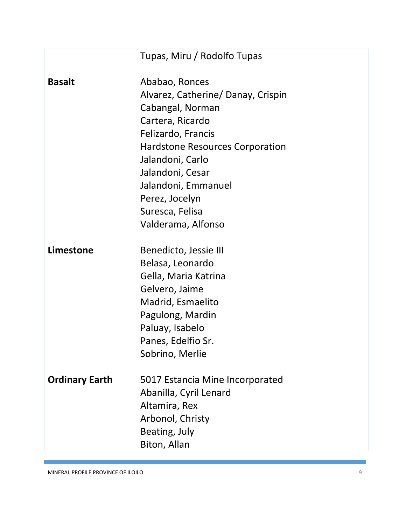|                       | Tupas, Miru / Rodolfo Tupas            |
|-----------------------|----------------------------------------|
| <b>Basalt</b>         | Ababao, Ronces                         |
|                       | Alvarez, Catherine/ Danay, Crispin     |
|                       | Cabangal, Norman                       |
|                       | Cartera, Ricardo                       |
|                       | Felizardo, Francis                     |
|                       | <b>Hardstone Resources Corporation</b> |
|                       | Jalandoni, Carlo                       |
|                       | Jalandoni, Cesar                       |
|                       | Jalandoni, Emmanuel                    |
|                       | Perez, Jocelyn                         |
|                       | Suresca, Felisa                        |
|                       | Valderama, Alfonso                     |
| Limestone             | Benedicto, Jessie III                  |
|                       | Belasa, Leonardo                       |
|                       | Gella, Maria Katrina                   |
|                       | Gelvero, Jaime                         |
|                       | Madrid, Esmaelito                      |
|                       | Pagulong, Mardin                       |
|                       | Paluay, Isabelo                        |
|                       | Panes, Edelfio Sr.                     |
|                       | Sobrino, Merlie                        |
| <b>Ordinary Earth</b> | 5017 Estancia Mine Incorporated        |
|                       | Abanilla, Cyril Lenard                 |
|                       | Altamira, Rex                          |
|                       | Arbonol, Christy                       |
|                       | Beating, July                          |
|                       | Biton, Allan                           |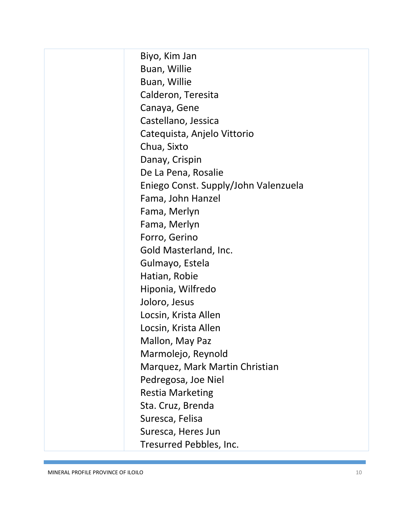Biyo, Kim Jan Buan, Willie Buan, Willie Calderon, Teresita Canaya, Gene Castellano, Jessica Catequista, Anjelo Vittorio Chua, Sixto Danay, Crispin De La Pena, Rosalie Eniego Const. Supply/John Valenzuela Fama, John Hanzel Fama, Merlyn Fama, Merlyn Forro, Gerino Gold Masterland, Inc. Gulmayo, Estela Hatian, Robie Hiponia, Wilfredo Joloro, Jesus Locsin, Krista Allen Locsin, Krista Allen Mallon, May Paz Marmolejo, Reynold Marquez, Mark Martin Christian Pedregosa, Joe Niel Restia Marketing Sta. Cruz, Brenda Suresca, Felisa Suresca, Heres Jun Tresurred Pebbles, Inc.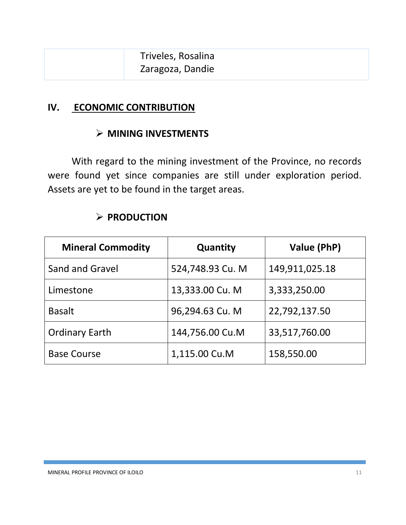#### **IV. ECONOMIC CONTRIBUTION**

### **MINING INVESTMENTS**

With regard to the mining investment of the Province, no records were found yet since companies are still under exploration period. Assets are yet to be found in the target areas.

| <b>Mineral Commodity</b> | Quantity         | Value (PhP)    |  |
|--------------------------|------------------|----------------|--|
| <b>Sand and Gravel</b>   | 524,748.93 Cu. M | 149,911,025.18 |  |
| Limestone                | 13,333.00 Cu. M  | 3,333,250.00   |  |
| <b>Basalt</b>            | 96,294.63 Cu. M  | 22,792,137.50  |  |
| <b>Ordinary Earth</b>    | 144,756.00 Cu.M  | 33,517,760.00  |  |
| <b>Base Course</b>       | 1,115.00 Cu.M    | 158,550.00     |  |

#### **PRODUCTION**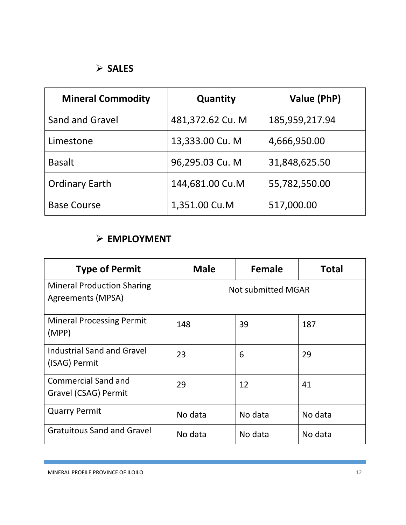# **SALES**

| <b>Mineral Commodity</b> | Quantity         | Value (PhP)    |
|--------------------------|------------------|----------------|
| Sand and Gravel          | 481,372.62 Cu. M | 185,959,217.94 |
| Limestone                | 13,333.00 Cu. M  | 4,666,950.00   |
| <b>Basalt</b>            | 96,295.03 Cu. M  | 31,848,625.50  |
| <b>Ordinary Earth</b>    | 144,681.00 Cu.M  | 55,782,550.00  |
| <b>Base Course</b>       | 1,351.00 Cu.M    | 517,000.00     |

## **EMPLOYMENT**

| <b>Type of Permit</b>                                  | <b>Male</b>               | Female  | <b>Total</b> |
|--------------------------------------------------------|---------------------------|---------|--------------|
| <b>Mineral Production Sharing</b><br>Agreements (MPSA) | <b>Not submitted MGAR</b> |         |              |
| <b>Mineral Processing Permit</b><br>(MPP)              | 148                       | 39      | 187          |
| <b>Industrial Sand and Gravel</b><br>(ISAG) Permit     | 23                        | 6       | 29           |
| <b>Commercial Sand and</b><br>Gravel (CSAG) Permit     | 29                        | 12      | 41           |
| <b>Quarry Permit</b>                                   | No data                   | No data | No data      |
| <b>Gratuitous Sand and Gravel</b>                      | No data                   | No data | No data      |